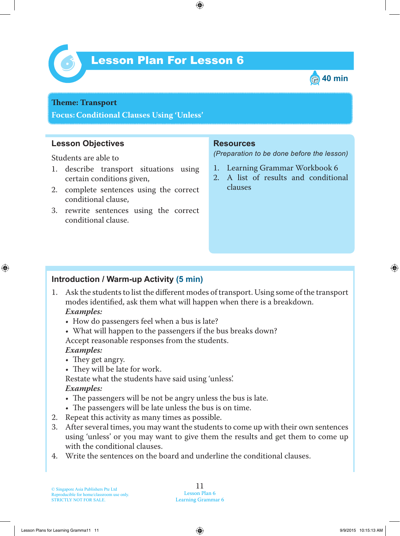

# *6* Lesson Plan For Lesson 6



#### **Theme: Transport**

**Focus: Conditional Clauses Using 'Unless'**

## **Lesson Objectives**

Students are able to

- 1. describe transport situations using certain conditions given,
- 2. complete sentences using the correct conditional clause,
- 3. rewrite sentences using the correct conditional clause.

## **Resources**

*(Preparation to be done before the lesson)*

- 1. Learning Grammar Workbook 6
- 2. A list of results and conditional clauses

## **Introduction / Warm-up Activity (5 min)**

- 1. Ask the students to list the different modes of transport. Using some of the transport modes identified, ask them what will happen when there is a breakdown.  *Examples:*
	- How do passengers feel when a bus is late?
	- What will happen to the passengers if the bus breaks down?

Accept reasonable responses from the students.

## *Examples:*

- $\cdot$  They get angry.
- They will be late for work.

Restate what the students have said using 'unless'.

## *Examples:*

- The passengers will be not be angry unless the bus is late.
- The passengers will be late unless the bus is on time.
- 2. Repeat this activity as many times as possible.
- 3. After several times, you may want the students to come up with their own sentences using 'unless' or you may want to give them the results and get them to come up with the conditional clauses.
- 4. Write the sentences on the board and underline the conditional clauses.